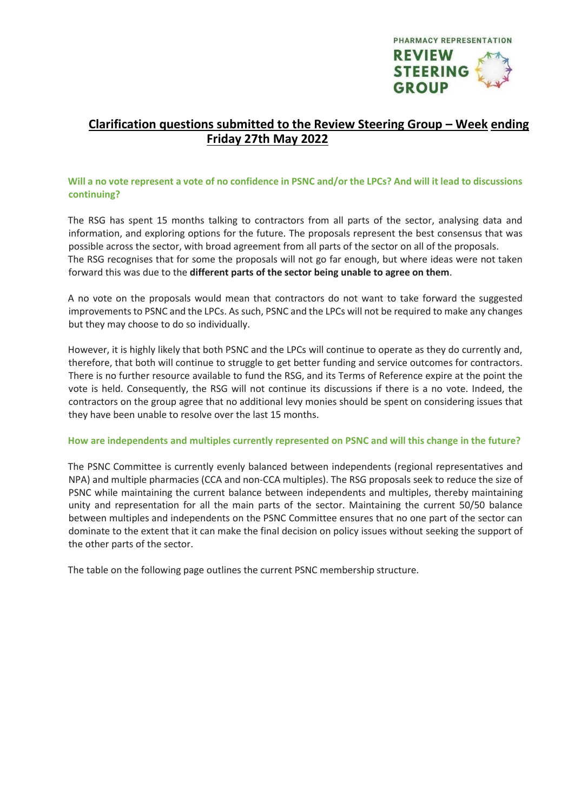

# **Clarification questions submitted to the Review Steering Group – Week ending Friday 27th May 2022**

### **Will a no vote represent a vote of no confidence in PSNC and/or the LPCs? And will it lead to discussions continuing?**

The RSG has spent 15 months talking to contractors from all parts of the sector, analysing data and information, and exploring options for the future. The proposals represent the best consensus that was possible across the sector, with broad agreement from all parts of the sector on all of the proposals. The RSG recognises that for some the proposals will not go far enough, but where ideas were not taken forward this was due to the **different parts of the sector being unable to agree on them**.

A no vote on the proposals would mean that contractors do not want to take forward the suggested improvements to PSNC and the LPCs. As such, PSNC and the LPCs will not be required to make any changes but they may choose to do so individually.

However, it is highly likely that both PSNC and the LPCs will continue to operate as they do currently and, therefore, that both will continue to struggle to get better funding and service outcomes for contractors. There is no further resource available to fund the RSG, and its Terms of Reference expire at the point the vote is held. Consequently, the RSG will not continue its discussions if there is a no vote. Indeed, the contractors on the group agree that no additional levy monies should be spent on considering issues that they have been unable to resolve over the last 15 months.

#### **How are independents and multiples currently represented on PSNC and will this change in the future?**

The PSNC Committee is currently evenly balanced between independents (regional representatives and NPA) and multiple pharmacies (CCA and non-CCA multiples). The RSG proposals seek to reduce the size of PSNC while maintaining the current balance between independents and multiples, thereby maintaining unity and representation for all the main parts of the sector. Maintaining the current 50/50 balance between multiples and independents on the PSNC Committee ensures that no one part of the sector can dominate to the extent that it can make the final decision on policy issues without seeking the support of the other parts of the sector.

The table on the following page outlines the current PSNC membership structure.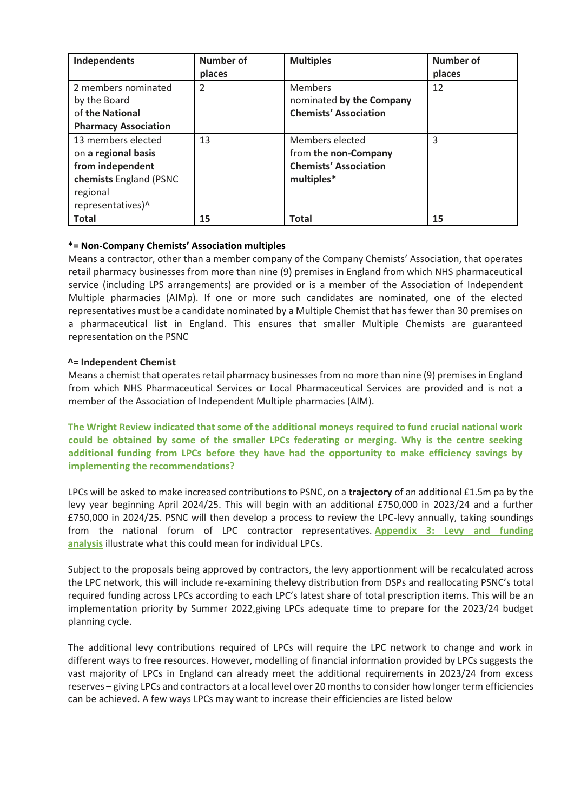| Independents                                                                                                             | <b>Number of</b><br>places | <b>Multiples</b>                                                                      | Number of<br>places |
|--------------------------------------------------------------------------------------------------------------------------|----------------------------|---------------------------------------------------------------------------------------|---------------------|
| 2 members nominated<br>by the Board<br>of the National<br><b>Pharmacy Association</b>                                    | $\overline{2}$             | <b>Members</b><br>nominated by the Company<br><b>Chemists' Association</b>            | 12                  |
| 13 members elected<br>on a regional basis<br>from independent<br>chemists England (PSNC<br>regional<br>representatives)^ | 13                         | Members elected<br>from the non-Company<br><b>Chemists' Association</b><br>multiples* | 3                   |
| <b>Total</b>                                                                                                             | 15                         | <b>Total</b>                                                                          | 15                  |

## **\*= Non-Company Chemists' Association multiples**

Means a contractor, other than a member company of the Company Chemists' Association, that operates retail pharmacy businesses from more than nine (9) premises in England from which NHS pharmaceutical service (including LPS arrangements) are provided or is a member of the Association of Independent Multiple pharmacies (AIMp). If one or more such candidates are nominated, one of the elected representatives must be a candidate nominated by a Multiple Chemist that has fewer than 30 premises on a pharmaceutical list in England. This ensures that smaller Multiple Chemists are guaranteed representation on the PSNC

#### **^= Independent Chemist**

Means a chemist that operates retail pharmacy businesses from no more than nine (9) premises in England from which NHS Pharmaceutical Services or Local Pharmaceutical Services are provided and is not a member of the Association of Independent Multiple pharmacies (AIM).

**The Wright Review indicated that some of the additional moneys required to fund crucial national work could be obtained by some of the smaller LPCs federating or merging. Why is the centre seeking additional funding from LPCs before they have had the opportunity to make efficiency savings by implementing the recommendations?**

LPCs will be asked to make increased contributions to PSNC, on a **trajectory** of an additional £1.5m pa by the levy year beginning April 2024/25. This will begin with an additional £750,000 in 2023/24 and a further £750,000 in 2024/25. PSNC will then develop a process to review the LPC-levy annually, taking soundings from the national forum of LPC contractor representatives. **[Appendix](https://pharmacyreview175657019.files.wordpress.com/2022/05/lpc-and-psnc-levy-analysis.xlsx) 3: Levy and funding [analysis](https://pharmacyreview175657019.files.wordpress.com/2022/05/lpc-and-psnc-levy-analysis.xlsx)** illustrate what this could mean for individual LPCs.

Subject to the proposals being approved by contractors, the levy apportionment will be recalculated across the LPC network, this will include re-examining thelevy distribution from DSPs and reallocating PSNC's total required funding across LPCs according to each LPC's latest share of total prescription items. This will be an implementation priority by Summer 2022,giving LPCs adequate time to prepare for the 2023/24 budget planning cycle.

The additional levy contributions required of LPCs will require the LPC network to change and work in different ways to free resources. However, modelling of financial information provided by LPCs suggests the vast majority of LPCs in England can already meet the additional requirements in 2023/24 from excess reserves – giving LPCs and contractors at a local level over 20 months to consider how longer term efficiencies can be achieved. A few ways LPCs may want to increase their efficiencies are listed below